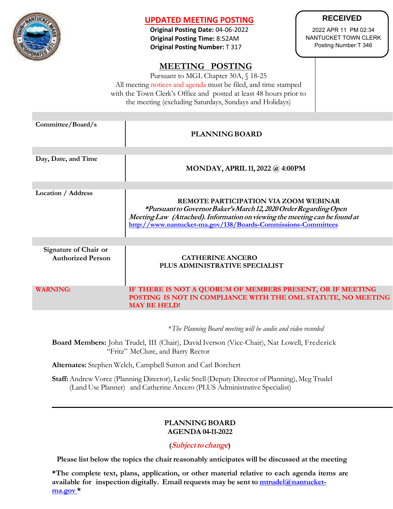

# **UPDATED MEETING POSTING**

**Original Posting Date:** 04-06-2022  **Original Posting Time:** 8:52AM  **Original Posting Number:** T 317

# **MEETING POSTING**

Pursuant to MGL Chapter 30A, § 18-25 All meeting notices and agenda must be filed, and time stamped with the Town Clerk's Office and posted at least 48 hours prior to the meeting (excluding Saturdays, Sundays and Holidays)

| Committee/Board/s                                 | <b>PLANNING BOARD</b>                                                                                                                                                                                                                                     |
|---------------------------------------------------|-----------------------------------------------------------------------------------------------------------------------------------------------------------------------------------------------------------------------------------------------------------|
|                                                   |                                                                                                                                                                                                                                                           |
| Day, Date, and Time                               | <b>MONDAY, APRIL 11, 2022 @ 4:00PM</b>                                                                                                                                                                                                                    |
|                                                   |                                                                                                                                                                                                                                                           |
| Location / Address                                | REMOTE PARTICIPATION VIA ZOOM WEBINAR<br>*Pursuant to Governor Baker's March 12, 2020 Order Regarding Open<br>Meeting Law (Attached). Information on viewing the meeting can be found at<br>http://www.nantucket-ma.gov/138/Boards-Commissions-Committees |
|                                                   |                                                                                                                                                                                                                                                           |
| Signature of Chair or<br><b>Authorized Person</b> | <b>CATHERINE ANCERO</b><br>PLUS ADMINISTRATIVE SPECIALIST                                                                                                                                                                                                 |
| <b>WARNING:</b>                                   | IF THERE IS NOT A QUORUM OF MEMBERS PRESENT, OR IF MEETING<br>POSTING IS NOT IN COMPLIANCE WITH THE OML STATUTE, NO MEETING<br><b>MAY BE HELD!</b>                                                                                                        |

\**The Planning Board meeting will be audio and video recorded*

**Board Members:** John Trudel, III (Chair), David Iverson (Vice-Chair), Nat Lowell, Frederick "Fritz" McClure, and Barry Rector

**Alternates:** Stephen Welch, Campbell Sutton and Carl Borchert

**Staff:**Andrew Vorce (Planning Director), Leslie Snell (Deputy Director of Planning), Meg Trudel (Land Use Planner) and Catherine Ancero (PLUS Administrative Specialist)

#### **PLANNING BOARD AGENDA 04-11-2022**

# **(Subjectto change)**

**Please list below the topics the chair reasonably anticipates will be discussed at the meeting**

**\*The complete text, plans, application, or other material relative to each agenda items are available for inspection digitally. Email requests may be sent to [mtrudel@nantucket](mailto:mtrudel@nantucket-ma.gov)[ma.gov](mailto:mtrudel@nantucket-ma.gov) \***

# **RECEIVED**

2022 APR 11 PM 02:34 NANTUCKET TOWN CLERK Posting Number:T 346